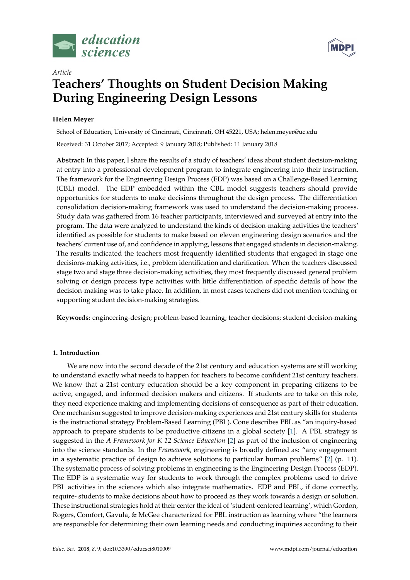



# **Teachers' Thoughts on Student Decision Making During Engineering Design Lessons**

# **Helen Meyer**

*Article*

School of Education, University of Cincinnati, Cincinnati, OH 45221, USA; helen.meyer@uc.edu

Received: 31 October 2017; Accepted: 9 January 2018; Published: 11 January 2018

**Abstract:** In this paper, I share the results of a study of teachers' ideas about student decision-making at entry into a professional development program to integrate engineering into their instruction. The framework for the Engineering Design Process (EDP) was based on a Challenge-Based Learning (CBL) model. The EDP embedded within the CBL model suggests teachers should provide opportunities for students to make decisions throughout the design process. The differentiation consolidation decision-making framework was used to understand the decision-making process. Study data was gathered from 16 teacher participants, interviewed and surveyed at entry into the program. The data were analyzed to understand the kinds of decision-making activities the teachers' identified as possible for students to make based on eleven engineering design scenarios and the teachers' current use of, and confidence in applying, lessons that engaged students in decision-making. The results indicated the teachers most frequently identified students that engaged in stage one decisions-making activities, i.e., problem identification and clarification. When the teachers discussed stage two and stage three decision-making activities, they most frequently discussed general problem solving or design process type activities with little differentiation of specific details of how the decision-making was to take place. In addition, in most cases teachers did not mention teaching or supporting student decision-making strategies.

**Keywords:** engineering-design; problem-based learning; teacher decisions; student decision-making

# **1. Introduction**

We are now into the second decade of the 21st century and education systems are still working to understand exactly what needs to happen for teachers to become confident 21st century teachers. We know that a 21st century education should be a key component in preparing citizens to be active, engaged, and informed decision makers and citizens. If students are to take on this role, they need experience making and implementing decisions of consequence as part of their education. One mechanism suggested to improve decision-making experiences and 21st century skills for students is the instructional strategy Problem-Based Learning (PBL). Cone describes PBL as "an inquiry-based approach to prepare students to be productive citizens in a global society [\[1\]](#page-9-0). A PBL strategy is suggested in the *A Framework for K-12 Science Education* [\[2\]](#page-9-1) as part of the inclusion of engineering into the science standards. In the *Framework*, engineering is broadly defined as: "any engagement in a systematic practice of design to achieve solutions to particular human problems" [\[2\]](#page-9-1) (p. 11). The systematic process of solving problems in engineering is the Engineering Design Process (EDP). The EDP is a systematic way for students to work through the complex problems used to drive PBL activities in the sciences which also integrate mathematics. EDP and PBL, if done correctly, require- students to make decisions about how to proceed as they work towards a design or solution. These instructional strategies hold at their center the ideal of 'student-centered learning', which Gordon, Rogers, Comfort, Gavula, & McGee characterized for PBL instruction as learning where "the learners are responsible for determining their own learning needs and conducting inquiries according to their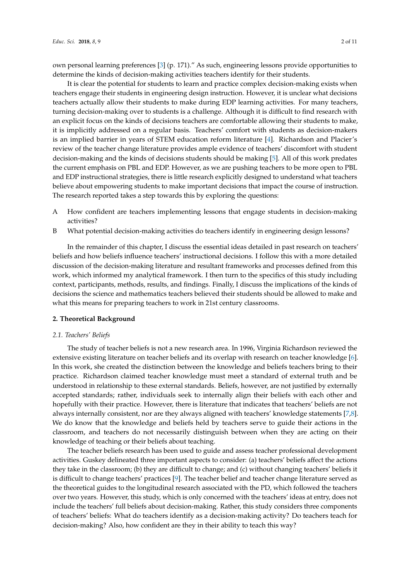own personal learning preferences [\[3\]](#page-9-2) (p. 171)." As such, engineering lessons provide opportunities to determine the kinds of decision-making activities teachers identify for their students.

It is clear the potential for students to learn and practice complex decision-making exists when teachers engage their students in engineering design instruction. However, it is unclear what decisions teachers actually allow their students to make during EDP learning activities. For many teachers, turning decision-making over to students is a challenge. Although it is difficult to find research with an explicit focus on the kinds of decisions teachers are comfortable allowing their students to make, it is implicitly addressed on a regular basis. Teachers' comfort with students as decision-makers is an implied barrier in years of STEM education reform literature [\[4\]](#page-9-3). Richardson and Placier's review of the teacher change literature provides ample evidence of teachers' discomfort with student decision-making and the kinds of decisions students should be making [\[5\]](#page-9-4). All of this work predates the current emphasis on PBL and EDP. However, as we are pushing teachers to be more open to PBL and EDP instructional strategies, there is little research explicitly designed to understand what teachers believe about empowering students to make important decisions that impact the course of instruction. The research reported takes a step towards this by exploring the questions:

- A How confident are teachers implementing lessons that engage students in decision-making activities?
- B What potential decision-making activities do teachers identify in engineering design lessons?

In the remainder of this chapter, I discuss the essential ideas detailed in past research on teachers' beliefs and how beliefs influence teachers' instructional decisions. I follow this with a more detailed discussion of the decision-making literature and resultant frameworks and processes defined from this work, which informed my analytical framework. I then turn to the specifics of this study including context, participants, methods, results, and findings. Finally, I discuss the implications of the kinds of decisions the science and mathematics teachers believed their students should be allowed to make and what this means for preparing teachers to work in 21st century classrooms.

## **2. Theoretical Background**

## *2.1. Teachers' Beliefs*

The study of teacher beliefs is not a new research area. In 1996, Virginia Richardson reviewed the extensive existing literature on teacher beliefs and its overlap with research on teacher knowledge [\[6\]](#page-9-5). In this work, she created the distinction between the knowledge and beliefs teachers bring to their practice. Richardson claimed teacher knowledge must meet a standard of external truth and be understood in relationship to these external standards. Beliefs, however, are not justified by externally accepted standards; rather, individuals seek to internally align their beliefs with each other and hopefully with their practice. However, there is literature that indicates that teachers' beliefs are not always internally consistent, nor are they always aligned with teachers' knowledge statements [\[7,](#page-9-6)[8\]](#page-9-7). We do know that the knowledge and beliefs held by teachers serve to guide their actions in the classroom, and teachers do not necessarily distinguish between when they are acting on their knowledge of teaching or their beliefs about teaching.

The teacher beliefs research has been used to guide and assess teacher professional development activities. Guskey delineated three important aspects to consider: (a) teachers' beliefs affect the actions they take in the classroom; (b) they are difficult to change; and (c) without changing teachers' beliefs it is difficult to change teachers' practices [\[9\]](#page-9-8). The teacher belief and teacher change literature served as the theoretical guides to the longitudinal research associated with the PD, which followed the teachers over two years. However, this study, which is only concerned with the teachers' ideas at entry, does not include the teachers' full beliefs about decision-making. Rather, this study considers three components of teachers' beliefs: What do teachers identify as a decision-making activity? Do teachers teach for decision-making? Also, how confident are they in their ability to teach this way?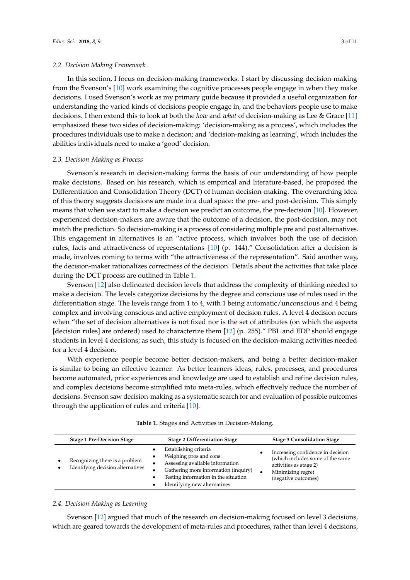#### *2.2. Decision Making Framework*

In this section, I focus on decision-making frameworks. I start by discussing decision-making from the Svenson's [\[10\]](#page-9-9) work examining the cognitive processes people engage in when they make decisions. I used Svenson's work as my primary guide because it provided a useful organization for understanding the varied kinds of decisions people engage in, and the behaviors people use to make decisions. I then extend this to look at both the *how* and *what* of decision-making as Lee & Grace [\[11\]](#page-9-10) emphasized these two sides of decision-making: 'decision-making as a process', which includes the procedures individuals use to make a decision; and 'decision-making as learning', which includes the abilities individuals need to make a 'good' decision.

#### *2.3. Decision-Making as Process*

Svenson's research in decision-making forms the basis of our understanding of how people make decisions. Based on his research, which is empirical and literature-based, he proposed the Differentiation and Consolidation Theory (DCT) of human decision-making. The overarching idea of this theory suggests decisions are made in a dual space: the pre- and post-decision. This simply means that when we start to make a decision we predict an outcome, the pre-decision [\[10\]](#page-9-9). However, experienced decision-makers are aware that the outcome of a decision, the post-decision, may not match the prediction. So decision-making is a process of considering multiple pre and post alternatives. This engagement in alternatives is an "active process, which involves both the use of decision rules, facts and attractiveness of representations–[\[10\]](#page-9-9) (p. 144)." Consolidation after a decision is made, involves coming to terms with "the attractiveness of the representation". Said another way, the decision-maker rationalizes correctness of the decision. Details about the activities that take place during the DCT process are outlined in Table [1.](#page-2-0)

Svenson [\[12\]](#page-9-11) also delineated decision levels that address the complexity of thinking needed to make a decision. The levels categorize decisions by the degree and conscious use of rules used in the differentiation stage. The levels range from 1 to 4, with 1 being automatic/unconscious and 4 being complex and involving conscious and active employment of decision rules. A level 4 decision occurs when "the set of decision alternatives is not fixed nor is the set of attributes (on which the aspects [decision rules] are ordered) used to characterize them [\[12\]](#page-9-11) (p. 255)." PBL and EDP should engage students in level 4 decisions; as such, this study is focused on the decision-making activities needed for a level 4 decision.

With experience people become better decision-makers, and being a better decision-maker is similar to being an effective learner. As better learners ideas, rules, processes, and procedures become automated, prior experiences and knowledge are used to establish and refine decision rules, and complex decisions become simplified into meta-rules, which effectively reduce the number of decisions. Svenson saw decision-making as a systematic search for and evaluation of possible outcomes through the application of rules and criteria [\[10\]](#page-9-9).

<span id="page-2-0"></span>

| Establishing criteria<br>Increasing confidence in decision<br>Weighing pros and cons<br>٠<br>(which includes some of the same<br>Recognizing there is a problem<br>Assessing available information<br>activities as stage 2)<br>Identifying decision alternatives<br>Gathering more information (inquiry)<br>Minimizing regret<br>Testing information in the situation<br>(negative outcomes)<br>Identifying new alternatives | <b>Stage 1 Pre-Decision Stage</b> | <b>Stage 2 Differentiation Stage</b> | <b>Stage 3 Consolidation Stage</b> |
|-------------------------------------------------------------------------------------------------------------------------------------------------------------------------------------------------------------------------------------------------------------------------------------------------------------------------------------------------------------------------------------------------------------------------------|-----------------------------------|--------------------------------------|------------------------------------|
|                                                                                                                                                                                                                                                                                                                                                                                                                               |                                   |                                      |                                    |

**Table 1.** Stages and Activities in Decision-Making.

## *2.4. Decision-Making as Learning*

Svenson [\[12\]](#page-9-11) argued that much of the research on decision-making focused on level 3 decisions, which are geared towards the development of meta-rules and procedures, rather than level 4 decisions,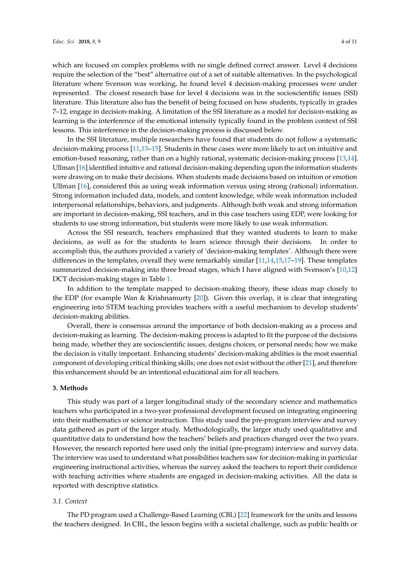which are focused on complex problems with no single defined correct answer. Level 4 decisions require the selection of the "best" alternative out of a set of suitable alternatives. In the psychological literature where Svenson was working, he found level 4 decision-making processes were under represented. The closest research base for level 4 decisions was in the socioscientific issues (SSI) literature. This literature also has the benefit of being focused on how students, typically in grades 7–12, engage in decision-making. A limitation of the SSI literature as a model for decision-making as learning is the interference of the emotional intensity typically found in the problem context of SSI lessons. This interference in the decision-making process is discussed below.

In the SSI literature, multiple researchers have found that students do not follow a systematic decision-making process [\[11,](#page-9-10)[13](#page-9-12)[–15\]](#page-9-13). Students in these cases were more likely to act on intuitive and emotion-based reasoning, rather than on a highly rational, systematic decision-making process [\[13](#page-9-12)[,14\]](#page-9-14). Ullman [\[16\]](#page-9-15) identified intuitive and rational decision-making depending upon the information students were drawing on to make their decisions. When students made decisions based on intuition or emotion Ullman [\[16\]](#page-9-15), considered this as using weak information versus using strong (rational) information. Strong information included data, models, and content knowledge, while weak information included interpersonal relationships, behaviors, and judgments. Although both weak and strong information are important in decision-making, SSI teachers, and in this case teachers using EDP, were looking for students to use strong information, but students were more likely to use weak information.

Across the SSI research, teachers emphasized that they wanted students to learn to make decisions, as well as for the students to learn science through their decisions. In order to accomplish this, the authors provided a variety of 'decision-making templates'. Although there were differences in the templates, overall they were remarkably similar [\[11,](#page-9-10)[14,](#page-9-14)[15,](#page-9-13)[17–](#page-9-16)[19\]](#page-10-0). These templates summarized decision-making into three broad stages, which I have aligned with Svenson's [\[10](#page-9-9)[,12\]](#page-9-11) DCT decision-making stages in Table [1.](#page-2-0)

In addition to the template mapped to decision-making theory, these ideas map closely to the EDP (for example Wan & Krishnamurty [\[20\]](#page-10-1)). Given this overlap, it is clear that integrating engineering into STEM teaching provides teachers with a useful mechanism to develop students' decision-making abilities.

Overall, there is consensus around the importance of both decision-making as a process and decision-making as learning. The decision-making process is adapted to fit the purpose of the decisions being made, whether they are socioscientific issues, designs choices, or personal needs; how we make the decision is vitally important. Enhancing students' decision-making abilities is the most essential component of developing critical thinking skills; one does not exist without the other [\[21\]](#page-10-2), and therefore this enhancement should be an intentional educational aim for all teachers.

## **3. Methods**

This study was part of a larger longitudinal study of the secondary science and mathematics teachers who participated in a two-year professional development focused on integrating engineering into their mathematics or science instruction. This study used the pre-program interview and survey data gathered as part of the larger study. Methodologically, the larger study used qualitative and quantitative data to understand how the teachers' beliefs and practices changed over the two years. However, the research reported here used only the initial (pre-program) interview and survey data. The interview was used to understand what possibilities teachers saw for decision-making in particular engineering instructional activities, whereas the survey asked the teachers to report their confidence with teaching activities where students are engaged in decision-making activities. All the data is reported with descriptive statistics.

# *3.1. Context*

The PD program used a Challenge-Based Learning (CBL) [\[22\]](#page-10-3) framework for the units and lessons the teachers designed. In CBL, the lesson begins with a societal challenge, such as public health or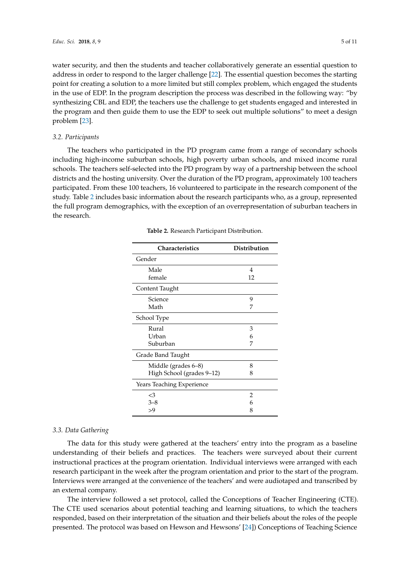water security, and then the students and teacher collaboratively generate an essential question to address in order to respond to the larger challenge [\[22\]](#page-10-3). The essential question becomes the starting point for creating a solution to a more limited but still complex problem, which engaged the students in the use of EDP. In the program description the process was described in the following way: "by synthesizing CBL and EDP, the teachers use the challenge to get students engaged and interested in the program and then guide them to use the EDP to seek out multiple solutions" to meet a design problem [\[23\]](#page-10-4).

#### *3.2. Participants*

<span id="page-4-0"></span>The teachers who participated in the PD program came from a range of secondary schools including high-income suburban schools, high poverty urban schools, and mixed income rural schools. The teachers self-selected into the PD program by way of a partnership between the school districts and the hosting university. Over the duration of the PD program, approximately 100 teachers participated. From these 100 teachers, 16 volunteered to participate in the research component of the study. Table [2](#page-4-0) includes basic information about the research participants who, as a group, represented the full program demographics, with the exception of an overrepresentation of suburban teachers in the research.

| <b>Characteristics</b>    | Distribution   |  |  |
|---------------------------|----------------|--|--|
| Gender                    |                |  |  |
| Male                      | 4              |  |  |
| female                    | 12             |  |  |
| Content Taught            |                |  |  |
| Science                   | 9              |  |  |
| Math                      | 7              |  |  |
| School Type               |                |  |  |
| Rural                     | 3              |  |  |
| Urban                     | 6              |  |  |
| Suburban                  | 7              |  |  |
| Grade Band Taught         |                |  |  |
| Middle (grades 6-8)       | 8              |  |  |
| High School (grades 9-12) | 8              |  |  |
| Years Teaching Experience |                |  |  |
| $<$ 3                     | $\overline{2}$ |  |  |
| $3 - 8$                   | 6              |  |  |
| >9                        | 8              |  |  |

**Table 2.** Research Participant Distribution.

#### *3.3. Data Gathering*

The data for this study were gathered at the teachers' entry into the program as a baseline understanding of their beliefs and practices. The teachers were surveyed about their current instructional practices at the program orientation. Individual interviews were arranged with each research participant in the week after the program orientation and prior to the start of the program. Interviews were arranged at the convenience of the teachers' and were audiotaped and transcribed by an external company.

The interview followed a set protocol, called the Conceptions of Teacher Engineering (CTE). The CTE used scenarios about potential teaching and learning situations, to which the teachers responded, based on their interpretation of the situation and their beliefs about the roles of the people presented. The protocol was based on Hewson and Hewsons' [\[24\]](#page-10-5)) Conceptions of Teaching Science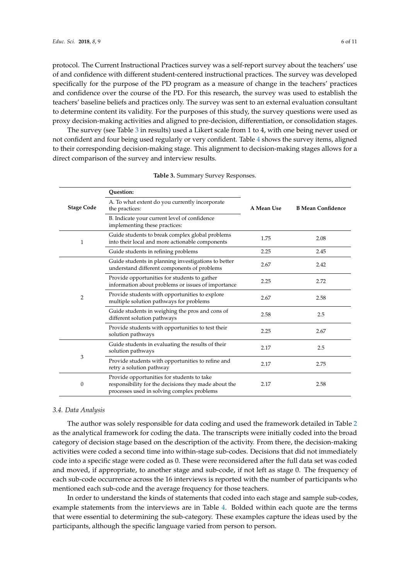protocol. The Current Instructional Practices survey was a self-report survey about the teachers' use of and confidence with different student-centered instructional practices. The survey was developed specifically for the purpose of the PD program as a measure of change in the teachers' practices and confidence over the course of the PD. For this research, the survey was used to establish the teachers' baseline beliefs and practices only. The survey was sent to an external evaluation consultant to determine content its validity. For the purposes of this study, the survey questions were used as proxy decision-making activities and aligned to pre-decision, differentiation, or consolidation stages.

The survey (see Table [3](#page-5-0) in results) used a Likert scale from 1 to 4, with one being never used or not confident and four being used regularly or very confident. Table [4](#page-6-0) shows the survey items, aligned to their corresponding decision-making stage. This alignment to decision-making stages allows for a direct comparison of the survey and interview results.

<span id="page-5-0"></span>

|                   | Ouestion:                                                                                                                                        |            |                          |  |
|-------------------|--------------------------------------------------------------------------------------------------------------------------------------------------|------------|--------------------------|--|
| <b>Stage Code</b> | A. To what extent do you currently incorporate<br>the practices:                                                                                 | A Mean Use | <b>B Mean Confidence</b> |  |
|                   | B. Indicate your current level of confidence<br>implementing these practices:                                                                    |            |                          |  |
| 1                 | Guide students to break complex global problems<br>into their local and more actionable components                                               | 1.75       | 2.08                     |  |
|                   | Guide students in refining problems                                                                                                              | 2.25       | 2.45                     |  |
| $\overline{2}$    | Guide students in planning investigations to better<br>understand different components of problems                                               | 2.67       | 2.42                     |  |
|                   | Provide opportunities for students to gather<br>2.25<br>information about problems or issues of importance                                       |            | 2.72                     |  |
|                   | Provide students with opportunities to explore<br>multiple solution pathways for problems                                                        | 2.67       | 2.58                     |  |
|                   | Guide students in weighing the pros and cons of<br>different solution pathways                                                                   | 2.58       | 2.5                      |  |
|                   | Provide students with opportunities to test their<br>solution pathways                                                                           | 2.25       | 2.67                     |  |
| 3                 | Guide students in evaluating the results of their<br>solution pathways                                                                           | 2.17       | 2.5                      |  |
|                   | Provide students with opportunities to refine and<br>retry a solution pathway                                                                    | 2.17       | 2.75                     |  |
| $\theta$          | Provide opportunities for students to take<br>responsibility for the decisions they made about the<br>processes used in solving complex problems | 2.17       | 2.58                     |  |

|  | <b>Table 3. Summary Survey Responses.</b> |
|--|-------------------------------------------|
|--|-------------------------------------------|

## *3.4. Data Analysis*

The author was solely responsible for data coding and used the framework detailed in Table [2](#page-4-0) as the analytical framework for coding the data. The transcripts were initially coded into the broad category of decision stage based on the description of the activity. From there, the decision-making activities were coded a second time into within-stage sub-codes. Decisions that did not immediately code into a specific stage were coded as 0. These were reconsidered after the full data set was coded and moved, if appropriate, to another stage and sub-code, if not left as stage 0. The frequency of each sub-code occurrence across the 16 interviews is reported with the number of participants who mentioned each sub-code and the average frequency for those teachers.

In order to understand the kinds of statements that coded into each stage and sample sub-codes, example statements from the interviews are in Table [4.](#page-6-0) Bolded within each quote are the terms that were essential to determining the sub-category. These examples capture the ideas used by the participants, although the specific language varied from person to person.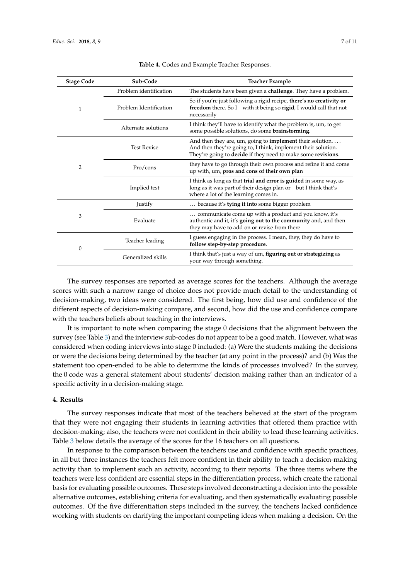<span id="page-6-0"></span>

| <b>Stage Code</b> | Sub-Code               | <b>Teacher Example</b>                                                                                                                                                                                    |  |
|-------------------|------------------------|-----------------------------------------------------------------------------------------------------------------------------------------------------------------------------------------------------------|--|
|                   | Problem identification | The students have been given a challenge. They have a problem.                                                                                                                                            |  |
| 1                 | Problem Identification | So if you're just following a rigid recipe, there's no creativity or<br>freedom there. So I—with it being so rigid, I would call that not<br>necessarily                                                  |  |
|                   | Alternate solutions    | I think they'll have to identify what the problem is, um, to get<br>some possible solutions, do some brainstorming.                                                                                       |  |
| 2                 | <b>Test Revise</b>     | And then they are, um, going to <b>implement</b> their solution. $\dots$<br>And then they're going to, I think, implement their solution.<br>They're going to decide if they need to make some revisions. |  |
|                   | Pro/cons               | they have to go through their own process and refine it and come<br>up with, um, pros and cons of their own plan                                                                                          |  |
|                   | Implied test           | I think as long as that trial and error is guided in some way, as<br>long as it was part of their design plan or-but I think that's<br>where a lot of the learning comes in.                              |  |
|                   | Justify                | because it's tying it into some bigger problem                                                                                                                                                            |  |
| 3                 | Evaluate               | communicate come up with a product and you know, it's<br>authentic and it, it's going out to the community and, and then<br>they may have to add on or revise from there                                  |  |
| $\theta$          | Teacher leading        | I guess engaging in the process. I mean, they, they do have to<br>follow step-by-step procedure.                                                                                                          |  |
|                   | Generalized skills     | I think that's just a way of um, figuring out or strategizing as<br>your way through something.                                                                                                           |  |

The survey responses are reported as average scores for the teachers. Although the average scores with such a narrow range of choice does not provide much detail to the understanding of decision-making, two ideas were considered. The first being, how did use and confidence of the different aspects of decision-making compare, and second, how did the use and confidence compare with the teachers beliefs about teaching in the interviews.

It is important to note when comparing the stage 0 decisions that the alignment between the survey (see Table [3\)](#page-5-0) and the interview sub-codes do not appear to be a good match. However, what was considered when coding interviews into stage 0 included: (a) Were the students making the decisions or were the decisions being determined by the teacher (at any point in the process)? and (b) Was the statement too open-ended to be able to determine the kinds of processes involved? In the survey, the 0 code was a general statement about students' decision making rather than an indicator of a specific activity in a decision-making stage.

## **4. Results**

The survey responses indicate that most of the teachers believed at the start of the program that they were not engaging their students in learning activities that offered them practice with decision-making; also, the teachers were not confident in their ability to lead these learning activities. Table [3](#page-5-0) below details the average of the scores for the 16 teachers on all questions.

In response to the comparison between the teachers use and confidence with specific practices, in all but three instances the teachers felt more confident in their ability to teach a decision-making activity than to implement such an activity, according to their reports. The three items where the teachers were less confident are essential steps in the differentiation process, which create the rational basis for evaluating possible outcomes. These steps involved deconstructing a decision into the possible alternative outcomes, establishing criteria for evaluating, and then systematically evaluating possible outcomes. Of the five differentiation steps included in the survey, the teachers lacked confidence working with students on clarifying the important competing ideas when making a decision. On the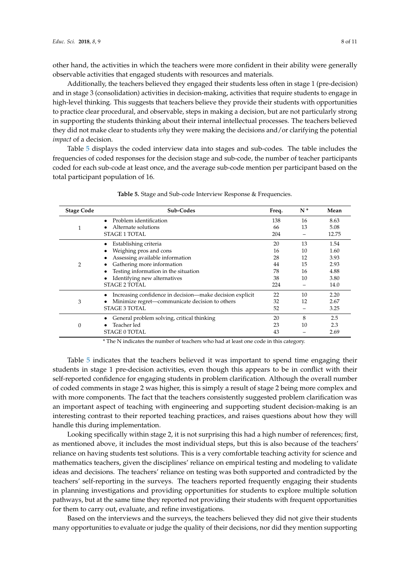other hand, the activities in which the teachers were more confident in their ability were generally observable activities that engaged students with resources and materials.

Additionally, the teachers believed they engaged their students less often in stage 1 (pre-decision) and in stage 3 (consolidation) activities in decision-making, activities that require students to engage in high-level thinking. This suggests that teachers believe they provide their students with opportunities to practice clear procedural, and observable, steps in making a decision, but are not particularly strong in supporting the students thinking about their internal intellectual processes. The teachers believed they did not make clear to students *why* they were making the decisions and/or clarifying the potential *impact* of a decision.

Table [5](#page-7-0) displays the coded interview data into stages and sub-codes. The table includes the frequencies of coded responses for the decision stage and sub-code, the number of teacher participants coded for each sub-code at least once, and the average sub-code mention per participant based on the total participant population of 16.

<span id="page-7-0"></span>

| <b>Stage Code</b> | Sub-Codes                                                | Freq. | $N^*$ | Mean  |
|-------------------|----------------------------------------------------------|-------|-------|-------|
|                   | Problem identification                                   | 138   | 16    | 8.63  |
|                   | Alternate solutions                                      | 66    | 13    | 5.08  |
|                   | <b>STAGE 1 TOTAL</b>                                     | 204   |       | 12.75 |
| $\overline{2}$    | Establishing criteria                                    | 20    | 13    | 1.54  |
|                   | Weighing pros and cons                                   | 16    | 10    | 1.60  |
|                   | Assessing available information                          | 28    | 12    | 3.93  |
|                   | Gathering more information                               | 44    | 15    | 2.93  |
|                   | Testing information in the situation                     | 78    | 16    | 4.88  |
|                   | Identifying new alternatives                             | 38    | 10    | 3.80  |
|                   | <b>STAGE 2 TOTAL</b>                                     | 224   |       | 14.0  |
| 3                 | Increasing confidence in decision—make decision explicit | 22    | 10    | 2.20  |
|                   | Minimize regret-communicate decision to others           | 32    | 12    | 2.67  |
|                   | <b>STAGE 3 TOTAL</b>                                     | 52    |       | 3.25  |
| 0                 | General problem solving, critical thinking               | 20    | 8     | 2.5   |
|                   | Teacher led                                              | 23    | 10    | 2.3   |
|                   | <b>STAGE 0 TOTAL</b>                                     | 43    |       | 2.69  |

**Table 5.** Stage and Sub-code Interview Response & Frequencies.

\* The N indicates the number of teachers who had at least one code in this category.

Table [5](#page-7-0) indicates that the teachers believed it was important to spend time engaging their students in stage 1 pre-decision activities, even though this appears to be in conflict with their self-reported confidence for engaging students in problem clarification. Although the overall number of coded comments in stage 2 was higher, this is simply a result of stage 2 being more complex and with more components. The fact that the teachers consistently suggested problem clarification was an important aspect of teaching with engineering and supporting student decision-making is an interesting contrast to their reported teaching practices, and raises questions about how they will handle this during implementation.

Looking specifically within stage 2, it is not surprising this had a high number of references; first, as mentioned above, it includes the most individual steps, but this is also because of the teachers' reliance on having students test solutions. This is a very comfortable teaching activity for science and mathematics teachers, given the disciplines' reliance on empirical testing and modeling to validate ideas and decisions. The teachers' reliance on testing was both supported and contradicted by the teachers' self-reporting in the surveys. The teachers reported frequently engaging their students in planning investigations and providing opportunities for students to explore multiple solution pathways, but at the same time they reported not providing their students with frequent opportunities for them to carry out, evaluate, and refine investigations.

Based on the interviews and the surveys, the teachers believed they did not give their students many opportunities to evaluate or judge the quality of their decisions, nor did they mention supporting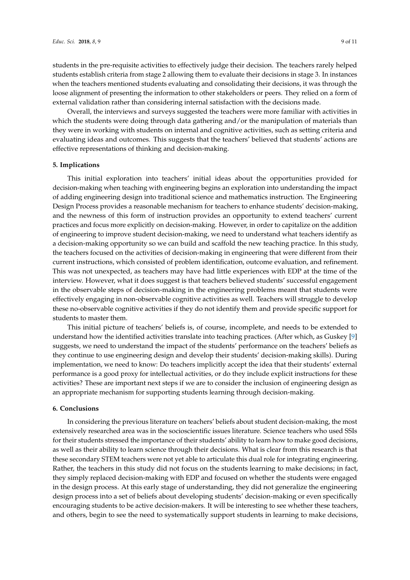students in the pre-requisite activities to effectively judge their decision. The teachers rarely helped students establish criteria from stage 2 allowing them to evaluate their decisions in stage 3. In instances when the teachers mentioned students evaluating and consolidating their decisions, it was through the loose alignment of presenting the information to other stakeholders or peers. They relied on a form of external validation rather than considering internal satisfaction with the decisions made.

Overall, the interviews and surveys suggested the teachers were more familiar with activities in which the students were doing through data gathering and/or the manipulation of materials than they were in working with students on internal and cognitive activities, such as setting criteria and evaluating ideas and outcomes. This suggests that the teachers' believed that students' actions are effective representations of thinking and decision-making.

## **5. Implications**

This initial exploration into teachers' initial ideas about the opportunities provided for decision-making when teaching with engineering begins an exploration into understanding the impact of adding engineering design into traditional science and mathematics instruction. The Engineering Design Process provides a reasonable mechanism for teachers to enhance students' decision-making, and the newness of this form of instruction provides an opportunity to extend teachers' current practices and focus more explicitly on decision-making. However, in order to capitalize on the addition of engineering to improve student decision-making, we need to understand what teachers identify as a decision-making opportunity so we can build and scaffold the new teaching practice. In this study, the teachers focused on the activities of decision-making in engineering that were different from their current instructions, which consisted of problem identification, outcome evaluation, and refinement. This was not unexpected, as teachers may have had little experiences with EDP at the time of the interview. However, what it does suggest is that teachers believed students' successful engagement in the observable steps of decision-making in the engineering problems meant that students were effectively engaging in non-observable cognitive activities as well. Teachers will struggle to develop these no-observable cognitive activities if they do not identify them and provide specific support for students to master them.

This initial picture of teachers' beliefs is, of course, incomplete, and needs to be extended to understand how the identified activities translate into teaching practices. (After which, as Guskey [\[9\]](#page-9-8) suggests, we need to understand the impact of the students' performance on the teachers' beliefs as they continue to use engineering design and develop their students' decision-making skills). During implementation, we need to know: Do teachers implicitly accept the idea that their students' external performance is a good proxy for intellectual activities, or do they include explicit instructions for these activities? These are important next steps if we are to consider the inclusion of engineering design as an appropriate mechanism for supporting students learning through decision-making.

## **6. Conclusions**

In considering the previous literature on teachers' beliefs about student decision-making, the most extensively researched area was in the socioscientific issues literature. Science teachers who used SSIs for their students stressed the importance of their students' ability to learn how to make good decisions, as well as their ability to learn science through their decisions. What is clear from this research is that these secondary STEM teachers were not yet able to articulate this dual role for integrating engineering. Rather, the teachers in this study did not focus on the students learning to make decisions; in fact, they simply replaced decision-making with EDP and focused on whether the students were engaged in the design process. At this early stage of understanding, they did not generalize the engineering design process into a set of beliefs about developing students' decision-making or even specifically encouraging students to be active decision-makers. It will be interesting to see whether these teachers, and others, begin to see the need to systematically support students in learning to make decisions,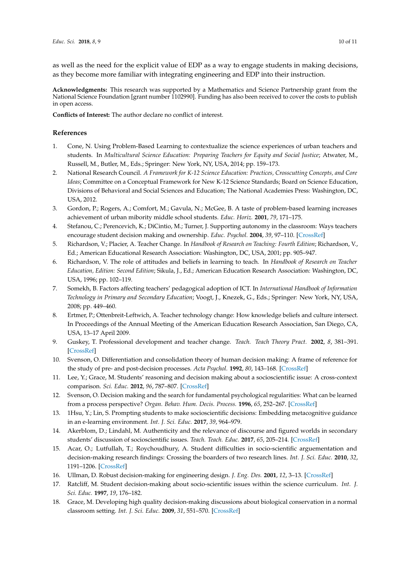as well as the need for the explicit value of EDP as a way to engage students in making decisions, as they become more familiar with integrating engineering and EDP into their instruction.

**Acknowledgments:** This research was supported by a Mathematics and Science Partnership grant from the National Science Foundation [grant number 1102990]. Funding has also been received to cover the costs to publish in open access.

**Conflicts of Interest:** The author declare no conflict of interest.

## **References**

- <span id="page-9-0"></span>1. Cone, N. Using Problem-Based Learning to contextualize the science experiences of urban teachers and students. In *Multicultural Science Education: Preparing Teachers for Equity and Social Justice*; Atwater, M., Russell, M., Butler, M., Eds.; Springer: New York, NY, USA, 2014; pp. 159–173.
- <span id="page-9-1"></span>2. National Research Council. *A Framework for K-12 Science Education: Practices, Crosscutting Concepts, and Core Ideas*; Committee on a Conceptual Framework for New K-12 Science Standards; Board on Science Education, Divisions of Behavioral and Social Sciences and Education; The National Academies Press: Washington, DC, USA, 2012.
- <span id="page-9-2"></span>3. Gordon, P.; Rogers, A.; Comfort, M.; Gavula, N.; McGee, B. A taste of problem-based learning increases achievement of urban mibority middle school students. *Educ. Horiz.* **2001**, *79*, 171–175.
- <span id="page-9-3"></span>4. Stefanou, C.; Perencevich, K.; DiCintio, M.; Turner, J. Supporting autonomy in the classroom: Ways teachers encourage student decision making and ownership. *Educ. Psychol.* **2004**, *39*, 97–110. [\[CrossRef\]](http://dx.doi.org/10.1207/s15326985ep3902_2)
- <span id="page-9-4"></span>5. Richardson, V.; Placier, A. Teacher Change. In *Handbook of Research on Teaching: Fourth Edition*; Richardson, V., Ed.; American Educational Research Association: Washington, DC, USA, 2001; pp. 905–947.
- <span id="page-9-5"></span>6. Richardson, V. The role of attitudes and beliefs in learning to teach. In *Handbook of Research on Teacher Education, Edition: Second Edition*; Sikula, J., Ed.; American Education Research Association: Washington, DC, USA, 1996; pp. 102–119.
- <span id="page-9-6"></span>7. Somekh, B. Factors affecting teachers' pedagogical adoption of ICT. In *International Handbook of Information Technology in Primary and Secondary Education*; Voogt, J., Knezek, G., Eds.; Springer: New York, NY, USA, 2008; pp. 449–460.
- <span id="page-9-7"></span>8. Ertmer, P.; Ottenbreit-Leftwich, A. Teacher technology change: How knowledge beliefs and culture intersect. In Proceedings of the Annual Meeting of the American Education Research Association, San Diego, CA, USA, 13–17 April 2009.
- <span id="page-9-8"></span>9. Guskey, T. Professional development and teacher change. *Teach. Teach Theory Pract.* **2002**, *8*, 381–391. [\[CrossRef\]](http://dx.doi.org/10.1080/135406002100000512)
- <span id="page-9-9"></span>10. Svenson, O. Differentiation and consolidation theory of human decision making: A frame of reference for the study of pre- and post-decision processes. *Acta Psychol.* **1992**, *80*, 143–168. [\[CrossRef\]](http://dx.doi.org/10.1016/0001-6918(92)90044-E)
- <span id="page-9-10"></span>11. Lee, Y.; Grace, M. Students' reasoning and decision making about a socioscientific issue: A cross-context comparison. *Sci. Educ.* **2012**, *96*, 787–807. [\[CrossRef\]](http://dx.doi.org/10.1002/sce.21021)
- <span id="page-9-11"></span>12. Svenson, O. Decision making and the search for fundamental psychological regularities: What can be learned from a process perspective? *Organ. Behav. Hum. Decis. Process.* **1996**, *65*, 252–267. [\[CrossRef\]](http://dx.doi.org/10.1006/obhd.1996.0026)
- <span id="page-9-12"></span>13. 1Hsu, Y.; Lin, S. Prompting students to make socioscientific decisions: Embedding metacognitive guidance in an e-learning environment. *Int. J. Sci. Educ.* **2017**, *39*, 964–979.
- <span id="page-9-14"></span>14. Akerblom, D.; Lindahl, M. Authenticity and the relevance of discourse and figured worlds in secondary students' discussion of socioscientific issues. *Teach. Teach. Educ.* **2017**, *65*, 205–214. [\[CrossRef\]](http://dx.doi.org/10.1016/j.tate.2017.03.025)
- <span id="page-9-13"></span>15. Acar, O.; Lutfullah, T.; Roychoudhury, A. Student difficulties in socio-scientific arguementation and decision-making research findings: Crossing the boarders of two research lines. *Int. J. Sci. Educ.* **2010**, *32*, 1191–1206. [\[CrossRef\]](http://dx.doi.org/10.1080/09500690902991805)
- <span id="page-9-15"></span>16. Ullman, D. Robust decision-making for engineering design. *J. Eng. Des.* **2001**, *12*, 3–13. [\[CrossRef\]](http://dx.doi.org/10.1080/09544820010031580)
- <span id="page-9-16"></span>17. Ratcliff, M. Student decision-making about socio-scientific issues within the science curriculum. *Int. J. Sci. Educ.* **1997**, *19*, 176–182.
- 18. Grace, M. Developing high quality decision-making discussions about biological conservation in a normal classroom setting. *Int. J. Sci. Educ.* **2009**, *31*, 551–570. [\[CrossRef\]](http://dx.doi.org/10.1080/09500690701744595)